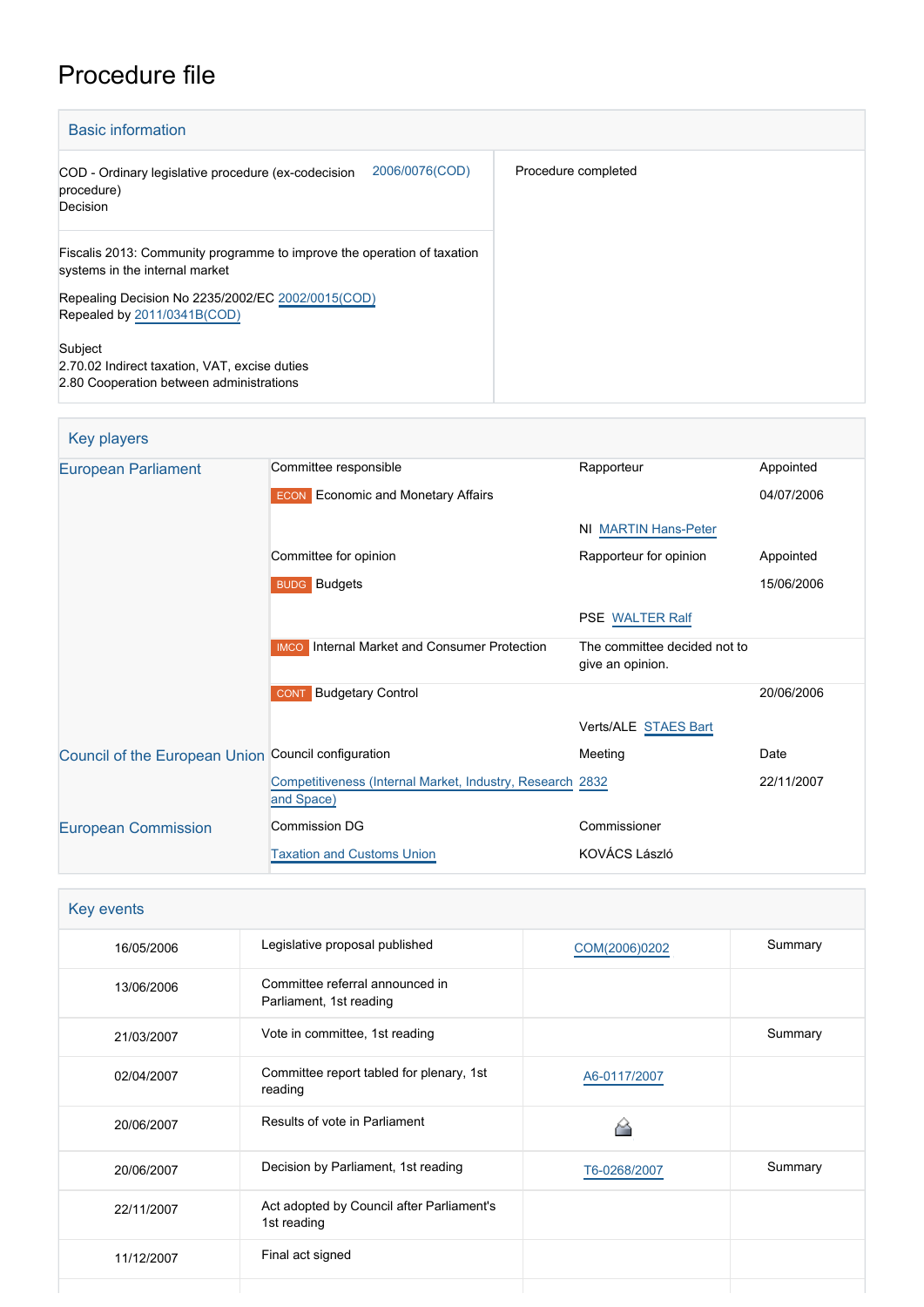# Procedure file

| <b>Basic information</b>                                                                                  |                     |
|-----------------------------------------------------------------------------------------------------------|---------------------|
| 2006/0076(COD)<br>COD - Ordinary legislative procedure (ex-codecision<br>procedure)<br>Decision           | Procedure completed |
| Fiscalis 2013: Community programme to improve the operation of taxation<br>systems in the internal market |                     |
| Repealing Decision No 2235/2002/EC 2002/0015(COD)<br>Repealed by 2011/0341B(COD)                          |                     |
| Subject<br>2.70.02 Indirect taxation, VAT, excise duties<br>2.80 Cooperation between administrations      |                     |

| Key players                                         |                                                                         |                                                  |            |
|-----------------------------------------------------|-------------------------------------------------------------------------|--------------------------------------------------|------------|
| <b>European Parliament</b>                          | Committee responsible                                                   | Rapporteur                                       | Appointed  |
|                                                     | <b>ECON</b> Economic and Monetary Affairs                               |                                                  | 04/07/2006 |
|                                                     |                                                                         | <b>NI MARTIN Hans-Peter</b>                      |            |
|                                                     | Committee for opinion                                                   | Rapporteur for opinion                           | Appointed  |
|                                                     | <b>BUDG</b> Budgets                                                     |                                                  | 15/06/2006 |
|                                                     |                                                                         | <b>PSE WALTER Ralf</b>                           |            |
|                                                     | <b>IMCO</b> Internal Market and Consumer Protection                     | The committee decided not to<br>give an opinion. |            |
|                                                     | <b>Budgetary Control</b><br><b>CONT</b>                                 |                                                  | 20/06/2006 |
|                                                     |                                                                         | Verts/ALE STAES Bart                             |            |
| Council of the European Union Council configuration |                                                                         | Meeting                                          | Date       |
|                                                     | Competitiveness (Internal Market, Industry, Research 2832<br>and Space) |                                                  | 22/11/2007 |
| <b>European Commission</b>                          | Commission DG                                                           | Commissioner                                     |            |
|                                                     | <b>Taxation and Customs Union</b>                                       | KOVÁCS László                                    |            |

| Key events |                                                            |               |         |
|------------|------------------------------------------------------------|---------------|---------|
| 16/05/2006 | Legislative proposal published                             | COM(2006)0202 | Summary |
| 13/06/2006 | Committee referral announced in<br>Parliament, 1st reading |               |         |
| 21/03/2007 | Vote in committee, 1st reading                             |               | Summary |
| 02/04/2007 | Committee report tabled for plenary, 1st<br>reading        | A6-0117/2007  |         |
| 20/06/2007 | Results of vote in Parliament                              |               |         |
| 20/06/2007 | Decision by Parliament, 1st reading                        | T6-0268/2007  | Summary |
| 22/11/2007 | Act adopted by Council after Parliament's<br>1st reading   |               |         |
| 11/12/2007 | Final act signed                                           |               |         |
|            |                                                            |               |         |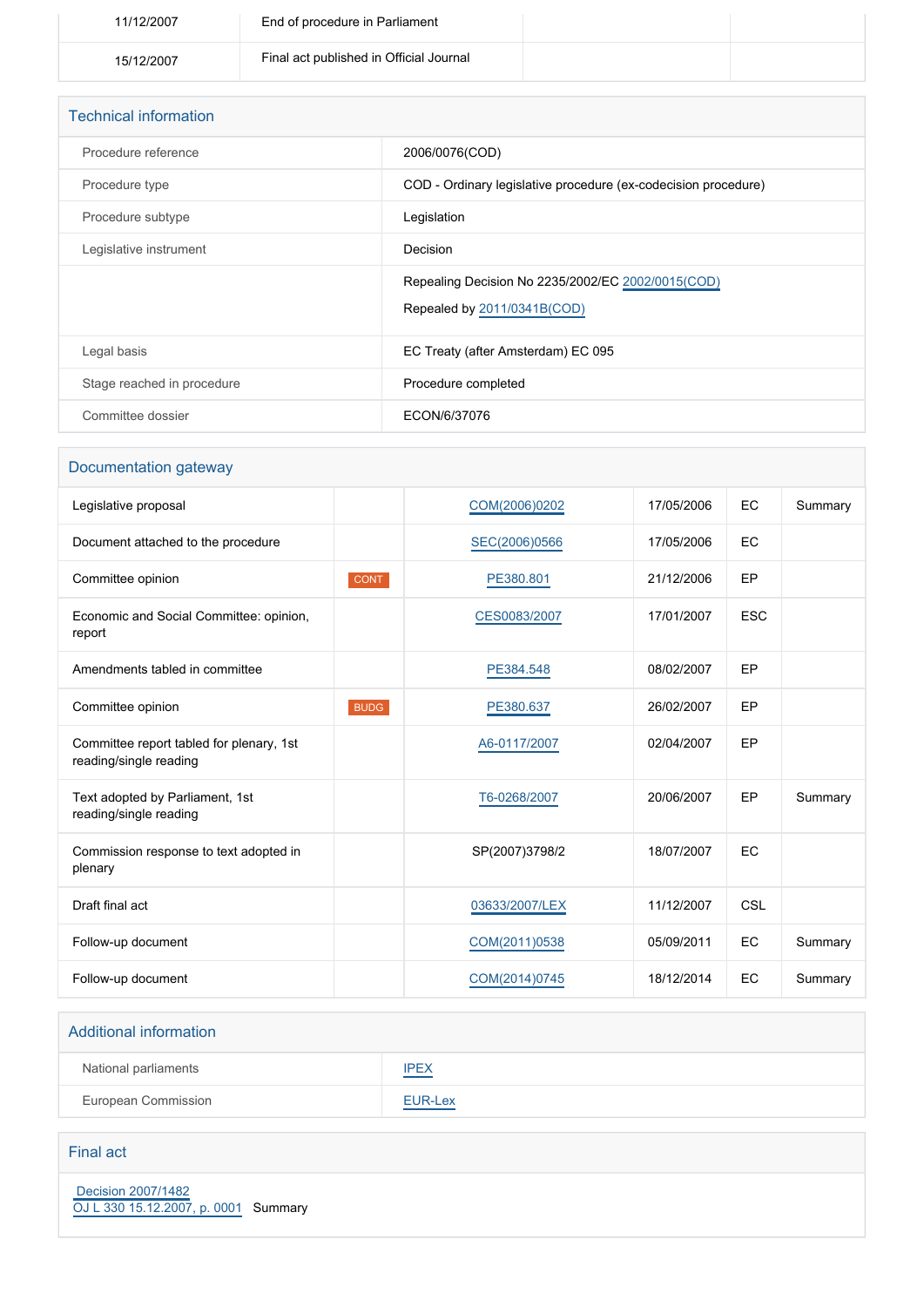| 11/12/2007 | End of procedure in Parliament          |  |
|------------|-----------------------------------------|--|
| 15/12/2007 | Final act published in Official Journal |  |

| <b>Technical information</b> |                                                                |
|------------------------------|----------------------------------------------------------------|
| Procedure reference          | 2006/0076(COD)                                                 |
| Procedure type               | COD - Ordinary legislative procedure (ex-codecision procedure) |
| Procedure subtype            | Legislation                                                    |
| Legislative instrument       | Decision                                                       |
|                              | Repealing Decision No 2235/2002/EC 2002/0015(COD)              |
|                              | Repealed by 2011/0341B(COD)                                    |
| Legal basis                  | EC Treaty (after Amsterdam) EC 095                             |
| Stage reached in procedure   | Procedure completed                                            |
| Committee dossier            | ECON/6/37076                                                   |

## Documentation gateway Legislative proposal **[COM\(2006\)0202](http://www.europarl.europa.eu/registre/docs_autres_institutions/commission_europeenne/com/2006/0202/COM_COM(2006)0202_EN.pdf)** 17/05/2006 EC Summary Document attached to the procedure [SEC\(2006\)0566](http://www.europarl.europa.eu/registre/docs_autres_institutions/commission_europeenne/sec/2006/0566/COM_SEC(2006)0566_EN.pdf) 17/05/2006 EC Committee opinion **CONT CONT [PE380.801](https://www.europarl.europa.eu/doceo/document/CONT-AD-380801_EN.html)** 21/12/2006 EP Economic and Social Committee: opinion, report [CES0083/2007](https://dmsearch.eesc.europa.eu/search/public?k=(documenttype:AC)(documentnumber:0083)(documentyear:2007)(documentlanguage:EN)) 17/01/2007 ESC Amendments tabled in committee and the CESS4.548 [PE384.548](https://www.europarl.europa.eu/doceo/document/EN&reference=PE384.548) 08/02/2007 EP Committee opinion **BUDG BUDG [PE380.637](https://www.europarl.europa.eu/doceo/document/BUDG-AD-380637_EN.html)** 26/02/2007 **EP** Committee report tabled for plenary, 1st reading/single reading [A6-0117/2007](https://www.europarl.europa.eu/doceo/document/A-6-2007-0117_EN.html) 02/04/2007 EP Text adopted by Parliament, 1st reading/single reading [T6-0268/2007](https://www.europarl.europa.eu/doceo/document/TA-6-2007-0268_EN.html) 20/06/2007 EP Summary Commission response to text adopted in plenary SP(2007)3798/2 18/07/2007 EC Draft final act [03633/2007/LEX](http://register.consilium.europa.eu/content/out?lang=EN&typ=SET&i=ADV&RESULTSET=1&DOC_ID=[%n4]%2F07&DOC_LANCD=EN&ROWSPP=25&NRROWS=500&ORDERBY=DOC_DATE+DESC) 11/12/2007 CSL Follow-up document **[COM\(2011\)0538](http://www.europarl.europa.eu/RegData/docs_autres_institutions/commission_europeenne/com/2011/0538/COM_COM(2011)0538_EN.doc)** 05/09/2011 EC Summary Follow-up document [COM\(2014\)0745](http://www.europarl.europa.eu/RegData/docs_autres_institutions/commission_europeenne/com/2014/0745/COM_COM(2014)0745_EN.pdf) 18/12/2014 EC Summary

## Additional information National parliaments [IPEX](http://www.ipex.eu/IPEXL-WEB/dossier/dossier.do?code=COD&year=2006&number=0076&appLng=EN) European Commission **[EUR-Lex](http://ec.europa.eu/prelex/liste_resultats.cfm?CL=en&ReqId=0&DocType=COD&DocYear=2006&DocNum=0076)**

Final act

 [Decision 2007/1482](https://eur-lex.europa.eu/smartapi/cgi/sga_doc?smartapi!celexplus!prod!CELEXnumdoc&lg=EN&numdoc=32007D1482) [OJ L 330 15.12.2007, p. 0001](https://eur-lex.europa.eu/legal-content/EN/TXT/?uri=OJ:L:2007:330:TOC) Summary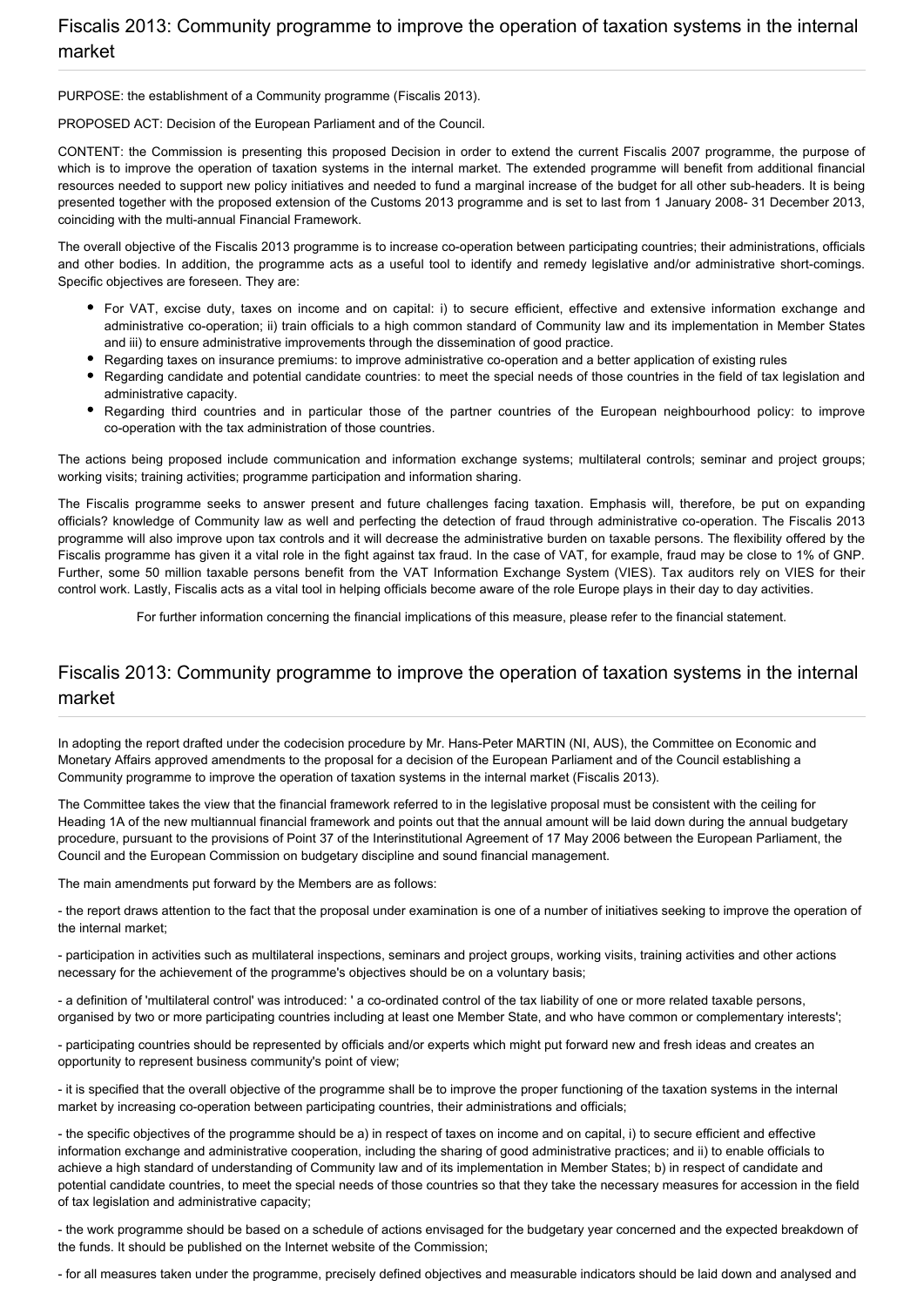PURPOSE: the establishment of a Community programme (Fiscalis 2013).

PROPOSED ACT: Decision of the European Parliament and of the Council.

CONTENT: the Commission is presenting this proposed Decision in order to extend the current Fiscalis 2007 programme, the purpose of which is to improve the operation of taxation systems in the internal market. The extended programme will benefit from additional financial resources needed to support new policy initiatives and needed to fund a marginal increase of the budget for all other sub-headers. It is being presented together with the proposed extension of the Customs 2013 programme and is set to last from 1 January 2008- 31 December 2013, coinciding with the multi-annual Financial Framework.

The overall objective of the Fiscalis 2013 programme is to increase co-operation between participating countries; their administrations, officials and other bodies. In addition, the programme acts as a useful tool to identify and remedy legislative and/or administrative short-comings. Specific objectives are foreseen. They are:

- For VAT, excise duty, taxes on income and on capital: i) to secure efficient, effective and extensive information exchange and administrative co-operation; ii) train officials to a high common standard of Community law and its implementation in Member States and iii) to ensure administrative improvements through the dissemination of good practice.
- Regarding taxes on insurance premiums: to improve administrative co-operation and a better application of existing rules
- Regarding candidate and potential candidate countries: to meet the special needs of those countries in the field of tax legislation and administrative capacity.
- Regarding third countries and in particular those of the partner countries of the European neighbourhood policy: to improve co-operation with the tax administration of those countries.

The actions being proposed include communication and information exchange systems; multilateral controls; seminar and project groups; working visits; training activities; programme participation and information sharing.

The Fiscalis programme seeks to answer present and future challenges facing taxation. Emphasis will, therefore, be put on expanding officials? knowledge of Community law as well and perfecting the detection of fraud through administrative co-operation. The Fiscalis 2013 programme will also improve upon tax controls and it will decrease the administrative burden on taxable persons. The flexibility offered by the Fiscalis programme has given it a vital role in the fight against tax fraud. In the case of VAT, for example, fraud may be close to 1% of GNP. Further, some 50 million taxable persons benefit from the VAT Information Exchange System (VIES). Tax auditors rely on VIES for their control work. Lastly, Fiscalis acts as a vital tool in helping officials become aware of the role Europe plays in their day to day activities.

For further information concerning the financial implications of this measure, please refer to the financial statement.

#### Fiscalis 2013: Community programme to improve the operation of taxation systems in the internal market

In adopting the report drafted under the codecision procedure by Mr. Hans-Peter MARTIN (NI, AUS), the Committee on Economic and Monetary Affairs approved amendments to the proposal for a decision of the European Parliament and of the Council establishing a Community programme to improve the operation of taxation systems in the internal market (Fiscalis 2013).

The Committee takes the view that the financial framework referred to in the legislative proposal must be consistent with the ceiling for Heading 1A of the new multiannual financial framework and points out that the annual amount will be laid down during the annual budgetary procedure, pursuant to the provisions of Point 37 of the Interinstitutional Agreement of 17 May 2006 between the European Parliament, the Council and the European Commission on budgetary discipline and sound financial management.

The main amendments put forward by the Members are as follows:

- the report draws attention to the fact that the proposal under examination is one of a number of initiatives seeking to improve the operation of the internal market;

- participation in activities such as multilateral inspections, seminars and project groups, working visits, training activities and other actions necessary for the achievement of the programme's objectives should be on a voluntary basis;

- a definition of 'multilateral control' was introduced: ' a co-ordinated control of the tax liability of one or more related taxable persons, organised by two or more participating countries including at least one Member State, and who have common or complementary interests';

- participating countries should be represented by officials and/or experts which might put forward new and fresh ideas and creates an opportunity to represent business community's point of view;

- it is specified that the overall objective of the programme shall be to improve the proper functioning of the taxation systems in the internal market by increasing co-operation between participating countries, their administrations and officials;

- the specific objectives of the programme should be a) in respect of taxes on income and on capital, i) to secure efficient and effective information exchange and administrative cooperation, including the sharing of good administrative practices; and ii) to enable officials to achieve a high standard of understanding of Community law and of its implementation in Member States; b) in respect of candidate and potential candidate countries, to meet the special needs of those countries so that they take the necessary measures for accession in the field of tax legislation and administrative capacity;

- the work programme should be based on a schedule of actions envisaged for the budgetary year concerned and the expected breakdown of the funds. It should be published on the Internet website of the Commission;

- for all measures taken under the programme, precisely defined objectives and measurable indicators should be laid down and analysed and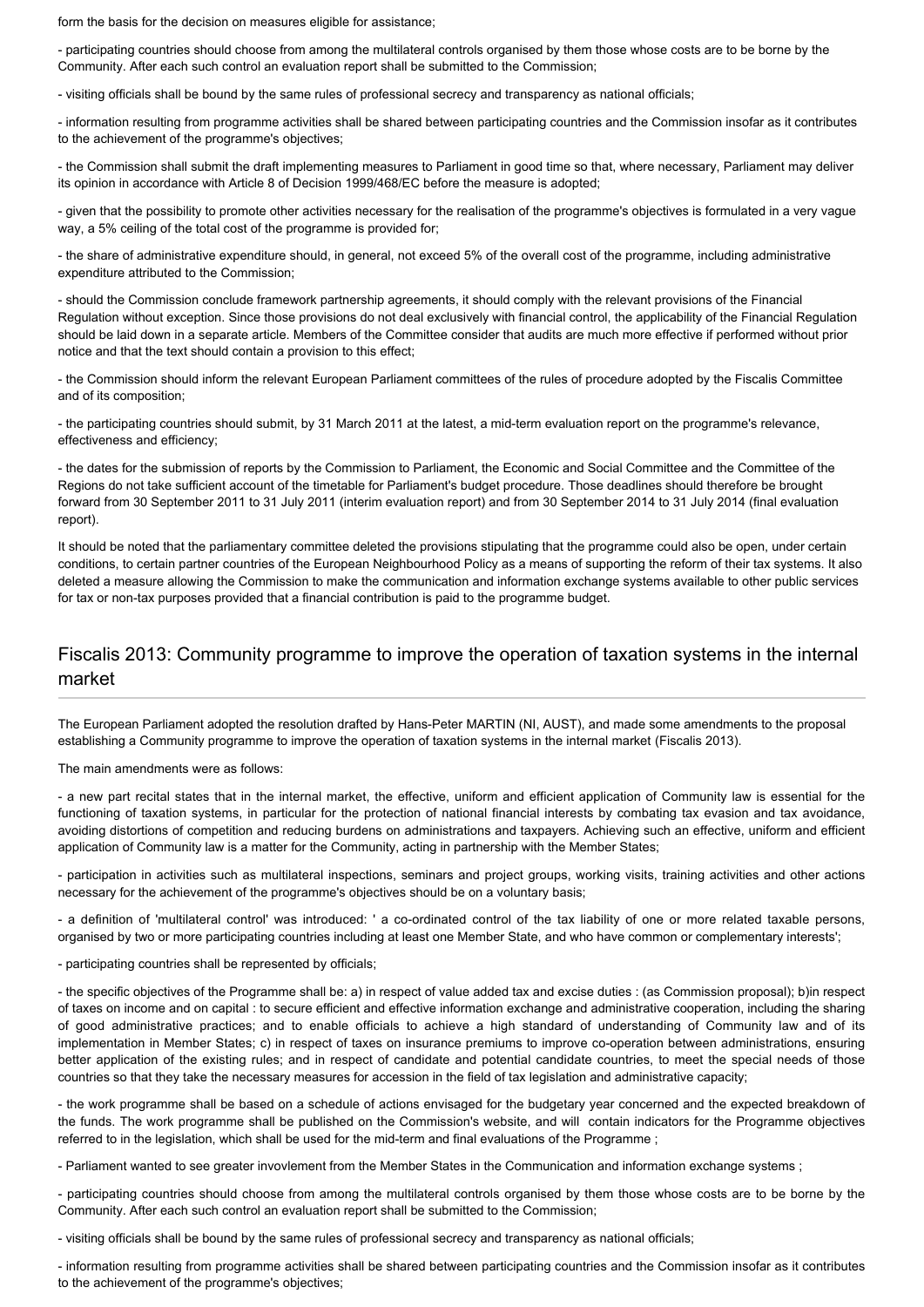form the basis for the decision on measures eligible for assistance;

- participating countries should choose from among the multilateral controls organised by them those whose costs are to be borne by the Community. After each such control an evaluation report shall be submitted to the Commission;

- visiting officials shall be bound by the same rules of professional secrecy and transparency as national officials;

- information resulting from programme activities shall be shared between participating countries and the Commission insofar as it contributes to the achievement of the programme's objectives;

- the Commission shall submit the draft implementing measures to Parliament in good time so that, where necessary, Parliament may deliver its opinion in accordance with Article 8 of Decision 1999/468/EC before the measure is adopted;

- given that the possibility to promote other activities necessary for the realisation of the programme's objectives is formulated in a very vague way, a 5% ceiling of the total cost of the programme is provided for;

- the share of administrative expenditure should, in general, not exceed 5% of the overall cost of the programme, including administrative expenditure attributed to the Commission;

- should the Commission conclude framework partnership agreements, it should comply with the relevant provisions of the Financial Regulation without exception. Since those provisions do not deal exclusively with financial control, the applicability of the Financial Regulation should be laid down in a separate article. Members of the Committee consider that audits are much more effective if performed without prior notice and that the text should contain a provision to this effect;

- the Commission should inform the relevant European Parliament committees of the rules of procedure adopted by the Fiscalis Committee and of its composition;

- the participating countries should submit, by 31 March 2011 at the latest, a mid-term evaluation report on the programme's relevance, effectiveness and efficiency;

- the dates for the submission of reports by the Commission to Parliament, the Economic and Social Committee and the Committee of the Regions do not take sufficient account of the timetable for Parliament's budget procedure. Those deadlines should therefore be brought forward from 30 September 2011 to 31 July 2011 (interim evaluation report) and from 30 September 2014 to 31 July 2014 (final evaluation report).

It should be noted that the parliamentary committee deleted the provisions stipulating that the programme could also be open, under certain conditions, to certain partner countries of the European Neighbourhood Policy as a means of supporting the reform of their tax systems. It also deleted a measure allowing the Commission to make the communication and information exchange systems available to other public services for tax or non-tax purposes provided that a financial contribution is paid to the programme budget.

#### Fiscalis 2013: Community programme to improve the operation of taxation systems in the internal market

The European Parliament adopted the resolution drafted by Hans-Peter MARTIN (NI, AUST), and made some amendments to the proposal establishing a Community programme to improve the operation of taxation systems in the internal market (Fiscalis 2013).

The main amendments were as follows:

- a new part recital states that in the internal market, the effective, uniform and efficient application of Community law is essential for the functioning of taxation systems, in particular for the protection of national financial interests by combating tax evasion and tax avoidance, avoiding distortions of competition and reducing burdens on administrations and taxpayers. Achieving such an effective, uniform and efficient application of Community law is a matter for the Community, acting in partnership with the Member States;

- participation in activities such as multilateral inspections, seminars and project groups, working visits, training activities and other actions necessary for the achievement of the programme's objectives should be on a voluntary basis;

- a definition of 'multilateral control' was introduced: ' a co-ordinated control of the tax liability of one or more related taxable persons, organised by two or more participating countries including at least one Member State, and who have common or complementary interests';

- participating countries shall be represented by officials;

- the specific objectives of the Programme shall be: a) in respect of value added tax and excise duties : (as Commission proposal); b)in respect of taxes on income and on capital : to secure efficient and effective information exchange and administrative cooperation, including the sharing of good administrative practices; and to enable officials to achieve a high standard of understanding of Community law and of its implementation in Member States; c) in respect of taxes on insurance premiums to improve co-operation between administrations, ensuring better application of the existing rules; and in respect of candidate and potential candidate countries, to meet the special needs of those countries so that they take the necessary measures for accession in the field of tax legislation and administrative capacity;

- the work programme shall be based on a schedule of actions envisaged for the budgetary year concerned and the expected breakdown of the funds. The work programme shall be published on the Commission's website, and will contain indicators for the Programme objectives referred to in the legislation, which shall be used for the mid-term and final evaluations of the Programme ;

- Parliament wanted to see greater invovlement from the Member States in the Communication and information exchange systems ;

- participating countries should choose from among the multilateral controls organised by them those whose costs are to be borne by the Community. After each such control an evaluation report shall be submitted to the Commission;

- visiting officials shall be bound by the same rules of professional secrecy and transparency as national officials;

- information resulting from programme activities shall be shared between participating countries and the Commission insofar as it contributes to the achievement of the programme's objectives;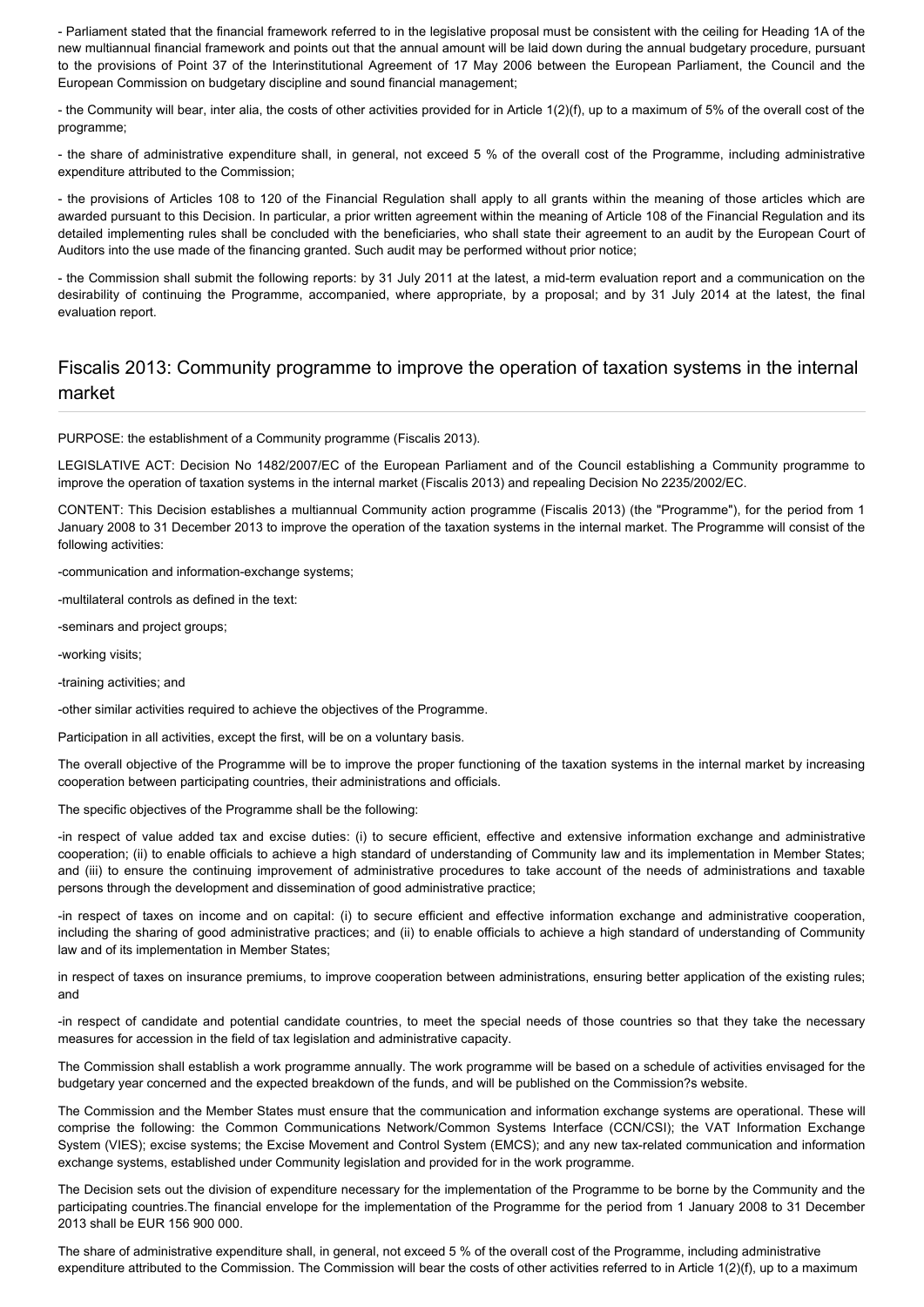- Parliament stated that the financial framework referred to in the legislative proposal must be consistent with the ceiling for Heading 1A of the new multiannual financial framework and points out that the annual amount will be laid down during the annual budgetary procedure, pursuant to the provisions of Point 37 of the Interinstitutional Agreement of 17 May 2006 between the European Parliament, the Council and the European Commission on budgetary discipline and sound financial management;

- the Community will bear, inter alia, the costs of other activities provided for in Article 1(2)(f), up to a maximum of 5% of the overall cost of the programme;

- the share of administrative expenditure shall, in general, not exceed 5 % of the overall cost of the Programme, including administrative expenditure attributed to the Commission;

- the provisions of Articles 108 to 120 of the Financial Regulation shall apply to all grants within the meaning of those articles which are awarded pursuant to this Decision. In particular, a prior written agreement within the meaning of Article 108 of the Financial Regulation and its detailed implementing rules shall be concluded with the beneficiaries, who shall state their agreement to an audit by the European Court of Auditors into the use made of the financing granted. Such audit may be performed without prior notice;

- the Commission shall submit the following reports: by 31 July 2011 at the latest, a mid-term evaluation report and a communication on the desirability of continuing the Programme, accompanied, where appropriate, by a proposal; and by 31 July 2014 at the latest, the final evaluation report.

#### Fiscalis 2013: Community programme to improve the operation of taxation systems in the internal market

PURPOSE: the establishment of a Community programme (Fiscalis 2013).

LEGISLATIVE ACT: Decision No 1482/2007/EC of the European Parliament and of the Council establishing a Community programme to improve the operation of taxation systems in the internal market (Fiscalis 2013) and repealing Decision No 2235/2002/EC.

CONTENT: This Decision establishes a multiannual Community action programme (Fiscalis 2013) (the "Programme"), for the period from 1 January 2008 to 31 December 2013 to improve the operation of the taxation systems in the internal market. The Programme will consist of the following activities:

-communication and information-exchange systems;

-multilateral controls as defined in the text:

-seminars and project groups;

-working visits;

-training activities; and

-other similar activities required to achieve the objectives of the Programme.

Participation in all activities, except the first, will be on a voluntary basis.

The overall objective of the Programme will be to improve the proper functioning of the taxation systems in the internal market by increasing cooperation between participating countries, their administrations and officials.

The specific objectives of the Programme shall be the following:

-in respect of value added tax and excise duties: (i) to secure efficient, effective and extensive information exchange and administrative cooperation; (ii) to enable officials to achieve a high standard of understanding of Community law and its implementation in Member States; and (iii) to ensure the continuing improvement of administrative procedures to take account of the needs of administrations and taxable persons through the development and dissemination of good administrative practice;

-in respect of taxes on income and on capital: (i) to secure efficient and effective information exchange and administrative cooperation, including the sharing of good administrative practices; and (ii) to enable officials to achieve a high standard of understanding of Community law and of its implementation in Member States;

in respect of taxes on insurance premiums, to improve cooperation between administrations, ensuring better application of the existing rules; and

-in respect of candidate and potential candidate countries, to meet the special needs of those countries so that they take the necessary measures for accession in the field of tax legislation and administrative capacity.

The Commission shall establish a work programme annually. The work programme will be based on a schedule of activities envisaged for the budgetary year concerned and the expected breakdown of the funds, and will be published on the Commission?s website.

The Commission and the Member States must ensure that the communication and information exchange systems are operational. These will comprise the following: the Common Communications Network/Common Systems Interface (CCN/CSI); the VAT Information Exchange System (VIES); excise systems; the Excise Movement and Control System (EMCS); and any new tax-related communication and information exchange systems, established under Community legislation and provided for in the work programme.

The Decision sets out the division of expenditure necessary for the implementation of the Programme to be borne by the Community and the participating countries.The financial envelope for the implementation of the Programme for the period from 1 January 2008 to 31 December 2013 shall be EUR 156 900 000.

The share of administrative expenditure shall, in general, not exceed 5 % of the overall cost of the Programme, including administrative expenditure attributed to the Commission. The Commission will bear the costs of other activities referred to in Article 1(2)(f), up to a maximum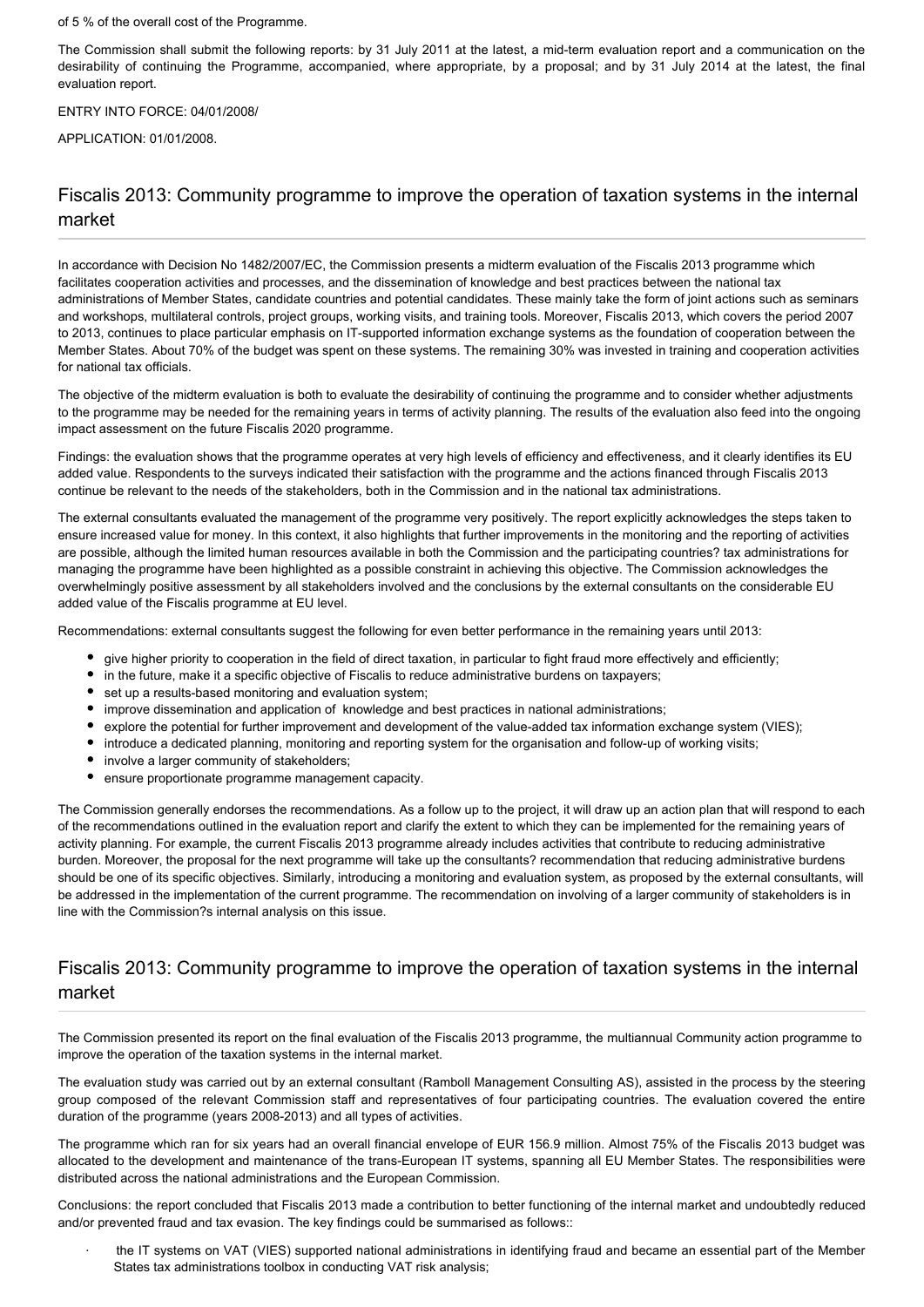#### of 5 % of the overall cost of the Programme.

The Commission shall submit the following reports: by 31 July 2011 at the latest, a mid-term evaluation report and a communication on the desirability of continuing the Programme, accompanied, where appropriate, by a proposal; and by 31 July 2014 at the latest, the final evaluation report.

#### ENTRY INTO FORCE: 04/01/2008/

APPLICATION: 01/01/2008.

### Fiscalis 2013: Community programme to improve the operation of taxation systems in the internal market

In accordance with Decision No 1482/2007/EC, the Commission presents a midterm evaluation of the Fiscalis 2013 programme which facilitates cooperation activities and processes, and the dissemination of knowledge and best practices between the national tax administrations of Member States, candidate countries and potential candidates. These mainly take the form of joint actions such as seminars and workshops, multilateral controls, project groups, working visits, and training tools. Moreover, Fiscalis 2013, which covers the period 2007 to 2013, continues to place particular emphasis on IT-supported information exchange systems as the foundation of cooperation between the Member States. About 70% of the budget was spent on these systems. The remaining 30% was invested in training and cooperation activities for national tax officials.

The objective of the midterm evaluation is both to evaluate the desirability of continuing the programme and to consider whether adjustments to the programme may be needed for the remaining years in terms of activity planning. The results of the evaluation also feed into the ongoing impact assessment on the future Fiscalis 2020 programme.

Findings: the evaluation shows that the programme operates at very high levels of efficiency and effectiveness, and it clearly identifies its EU added value. Respondents to the surveys indicated their satisfaction with the programme and the actions financed through Fiscalis 2013 continue be relevant to the needs of the stakeholders, both in the Commission and in the national tax administrations.

The external consultants evaluated the management of the programme very positively. The report explicitly acknowledges the steps taken to ensure increased value for money. In this context, it also highlights that further improvements in the monitoring and the reporting of activities are possible, although the limited human resources available in both the Commission and the participating countries? tax administrations for managing the programme have been highlighted as a possible constraint in achieving this objective. The Commission acknowledges the overwhelmingly positive assessment by all stakeholders involved and the conclusions by the external consultants on the considerable EU added value of the Fiscalis programme at EU level.

Recommendations: external consultants suggest the following for even better performance in the remaining years until 2013:

- give higher priority to cooperation in the field of direct taxation, in particular to fight fraud more effectively and efficiently;
- in the future, make it a specific objective of Fiscalis to reduce administrative burdens on taxpayers;
- $\bullet$ set up a results-based monitoring and evaluation system;
- improve dissemination and application of knowledge and best practices in national administrations;
- explore the potential for further improvement and development of the value-added tax information exchange system (VIES);
- introduce a dedicated planning, monitoring and reporting system for the organisation and follow-up of working visits;
- involve a larger community of stakeholders;
- ensure proportionate programme management capacity.

The Commission generally endorses the recommendations. As a follow up to the project, it will draw up an action plan that will respond to each of the recommendations outlined in the evaluation report and clarify the extent to which they can be implemented for the remaining years of activity planning. For example, the current Fiscalis 2013 programme already includes activities that contribute to reducing administrative burden. Moreover, the proposal for the next programme will take up the consultants? recommendation that reducing administrative burdens should be one of its specific objectives. Similarly, introducing a monitoring and evaluation system, as proposed by the external consultants, will be addressed in the implementation of the current programme. The recommendation on involving of a larger community of stakeholders is in line with the Commission?s internal analysis on this issue.

#### Fiscalis 2013: Community programme to improve the operation of taxation systems in the internal market

The Commission presented its report on the final evaluation of the Fiscalis 2013 programme, the multiannual Community action programme to improve the operation of the taxation systems in the internal market.

The evaluation study was carried out by an external consultant (Ramboll Management Consulting AS), assisted in the process by the steering group composed of the relevant Commission staff and representatives of four participating countries. The evaluation covered the entire duration of the programme (years 2008-2013) and all types of activities.

The programme which ran for six years had an overall financial envelope of EUR 156.9 million. Almost 75% of the Fiscalis 2013 budget was allocated to the development and maintenance of the trans-European IT systems, spanning all EU Member States. The responsibilities were distributed across the national administrations and the European Commission.

Conclusions: the report concluded that Fiscalis 2013 made a contribution to better functioning of the internal market and undoubtedly reduced and/or prevented fraud and tax evasion. The key findings could be summarised as follows::

· the IT systems on VAT (VIES) supported national administrations in identifying fraud and became an essential part of the Member States tax administrations toolbox in conducting VAT risk analysis;